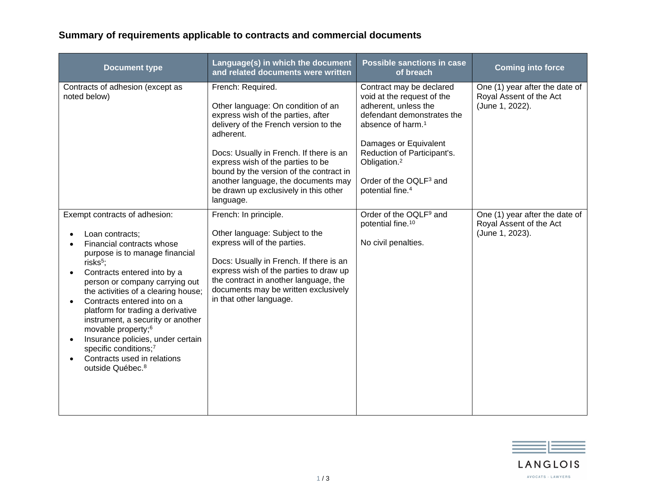## **Summary of requirements applicable to contracts and commercial documents**

| <b>Document type</b>                                                                                                                                                                                                                                                                                                                                                                                                                                                                                                                 | Language(s) in which the document<br>and related documents were written                                                                                                                                                                                                                                                                                                     | <b>Possible sanctions in case</b><br>of breach                                                                                                                                                                                                                                                          | <b>Coming into force</b>                                                     |
|--------------------------------------------------------------------------------------------------------------------------------------------------------------------------------------------------------------------------------------------------------------------------------------------------------------------------------------------------------------------------------------------------------------------------------------------------------------------------------------------------------------------------------------|-----------------------------------------------------------------------------------------------------------------------------------------------------------------------------------------------------------------------------------------------------------------------------------------------------------------------------------------------------------------------------|---------------------------------------------------------------------------------------------------------------------------------------------------------------------------------------------------------------------------------------------------------------------------------------------------------|------------------------------------------------------------------------------|
| Contracts of adhesion (except as<br>noted below)                                                                                                                                                                                                                                                                                                                                                                                                                                                                                     | French: Required.<br>Other language: On condition of an<br>express wish of the parties, after<br>delivery of the French version to the<br>adherent.<br>Docs: Usually in French. If there is an<br>express wish of the parties to be<br>bound by the version of the contract in<br>another language, the documents may<br>be drawn up exclusively in this other<br>language. | Contract may be declared<br>void at the request of the<br>adherent, unless the<br>defendant demonstrates the<br>absence of harm. <sup>1</sup><br>Damages or Equivalent<br>Reduction of Participant's.<br>Obligation. <sup>2</sup><br>Order of the OQLF <sup>3</sup> and<br>potential fine. <sup>4</sup> | One (1) year after the date of<br>Royal Assent of the Act<br>(June 1, 2022). |
| Exempt contracts of adhesion:<br>Loan contracts;<br>Financial contracts whose<br>purpose is to manage financial<br>risks <sup>5</sup> ;<br>Contracts entered into by a<br>person or company carrying out<br>the activities of a clearing house;<br>Contracts entered into on a<br>$\bullet$<br>platform for trading a derivative<br>instrument, a security or another<br>movable property; <sup>6</sup><br>Insurance policies, under certain<br>specific conditions;7<br>Contracts used in relations<br>outside Québec. <sup>8</sup> | French: In principle.<br>Other language: Subject to the<br>express will of the parties.<br>Docs: Usually in French. If there is an<br>express wish of the parties to draw up<br>the contract in another language, the<br>documents may be written exclusively<br>in that other language.                                                                                    | Order of the OQLF <sup>9</sup> and<br>potential fine. <sup>10</sup><br>No civil penalties.                                                                                                                                                                                                              | One (1) year after the date of<br>Royal Assent of the Act<br>(June 1, 2023). |

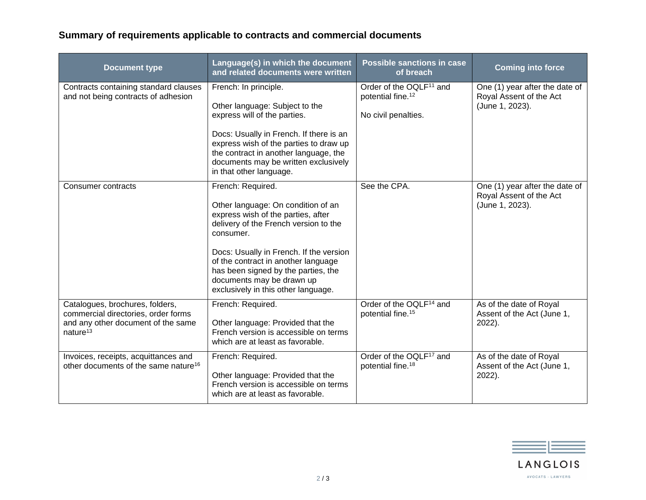## **Summary of requirements applicable to contracts and commercial documents**

| <b>Document type</b>                                                                                                                 | Language(s) in which the document<br>and related documents were written                                                                                                                                                                                                                                                                          | <b>Possible sanctions in case</b><br>of breach                                              | <b>Coming into force</b>                                                     |
|--------------------------------------------------------------------------------------------------------------------------------------|--------------------------------------------------------------------------------------------------------------------------------------------------------------------------------------------------------------------------------------------------------------------------------------------------------------------------------------------------|---------------------------------------------------------------------------------------------|------------------------------------------------------------------------------|
| Contracts containing standard clauses<br>and not being contracts of adhesion                                                         | French: In principle.<br>Other language: Subject to the<br>express will of the parties.<br>Docs: Usually in French. If there is an<br>express wish of the parties to draw up<br>the contract in another language, the<br>documents may be written exclusively<br>in that other language.                                                         | Order of the OQLF <sup>11</sup> and<br>potential fine. <sup>12</sup><br>No civil penalties. | One (1) year after the date of<br>Royal Assent of the Act<br>(June 1, 2023). |
| <b>Consumer contracts</b>                                                                                                            | French: Required.<br>Other language: On condition of an<br>express wish of the parties, after<br>delivery of the French version to the<br>consumer.<br>Docs: Usually in French. If the version<br>of the contract in another language<br>has been signed by the parties, the<br>documents may be drawn up<br>exclusively in this other language. | See the CPA.                                                                                | One (1) year after the date of<br>Royal Assent of the Act<br>(June 1, 2023). |
| Catalogues, brochures, folders,<br>commercial directories, order forms<br>and any other document of the same<br>nature <sup>13</sup> | French: Required.<br>Other language: Provided that the<br>French version is accessible on terms<br>which are at least as favorable.                                                                                                                                                                                                              | Order of the OQLF <sup>14</sup> and<br>potential fine. <sup>15</sup>                        | As of the date of Royal<br>Assent of the Act (June 1,<br>2022).              |
| Invoices, receipts, acquittances and<br>other documents of the same nature <sup>16</sup>                                             | French: Required.<br>Other language: Provided that the<br>French version is accessible on terms<br>which are at least as favorable.                                                                                                                                                                                                              | Order of the OQLF <sup>17</sup> and<br>potential fine. <sup>18</sup>                        | As of the date of Royal<br>Assent of the Act (June 1,<br>2022).              |